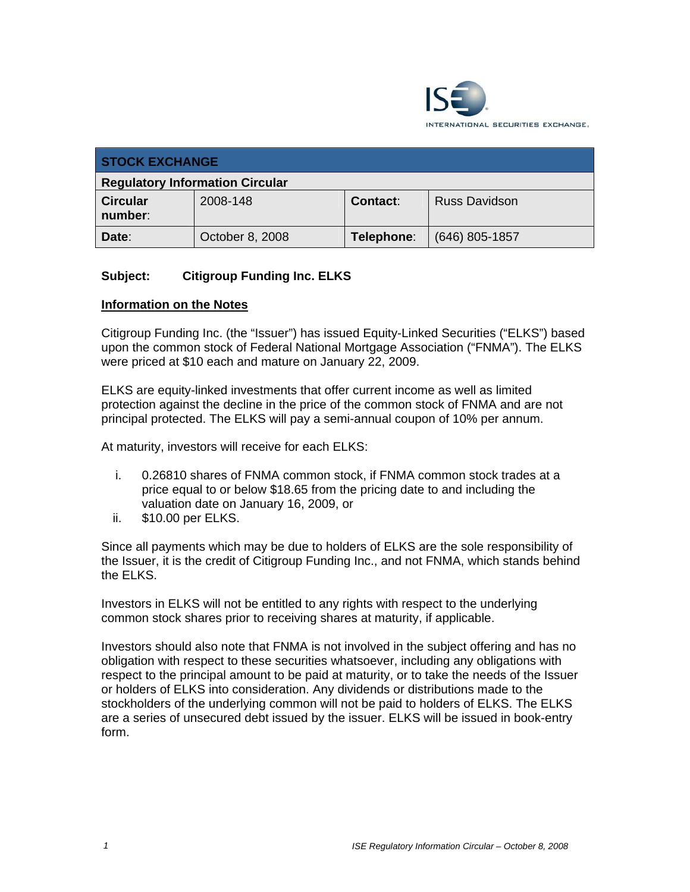

| <b>STOCK EXCHANGE</b>                  |                 |            |                      |
|----------------------------------------|-----------------|------------|----------------------|
| <b>Regulatory Information Circular</b> |                 |            |                      |
| <b>Circular</b><br>number:             | 2008-148        | Contact:   | <b>Russ Davidson</b> |
| Date:                                  | October 8, 2008 | Telephone: | $(646)$ 805-1857     |

## **Subject: Citigroup Funding Inc. ELKS**

#### **Information on the Notes**

Citigroup Funding Inc. (the "Issuer") has issued Equity-Linked Securities ("ELKS") based upon the common stock of Federal National Mortgage Association ("FNMA"). The ELKS were priced at \$10 each and mature on January 22, 2009.

ELKS are equity-linked investments that offer current income as well as limited protection against the decline in the price of the common stock of FNMA and are not principal protected. The ELKS will pay a semi-annual coupon of 10% per annum.

At maturity, investors will receive for each ELKS:

- i. 0.26810 shares of FNMA common stock, if FNMA common stock trades at a price equal to or below \$18.65 from the pricing date to and including the valuation date on January 16, 2009, or
- ii. \$10.00 per ELKS.

Since all payments which may be due to holders of ELKS are the sole responsibility of the Issuer, it is the credit of Citigroup Funding Inc., and not FNMA, which stands behind the ELKS.

Investors in ELKS will not be entitled to any rights with respect to the underlying common stock shares prior to receiving shares at maturity, if applicable.

Investors should also note that FNMA is not involved in the subject offering and has no obligation with respect to these securities whatsoever, including any obligations with respect to the principal amount to be paid at maturity, or to take the needs of the Issuer or holders of ELKS into consideration. Any dividends or distributions made to the stockholders of the underlying common will not be paid to holders of ELKS. The ELKS are a series of unsecured debt issued by the issuer. ELKS will be issued in book-entry form.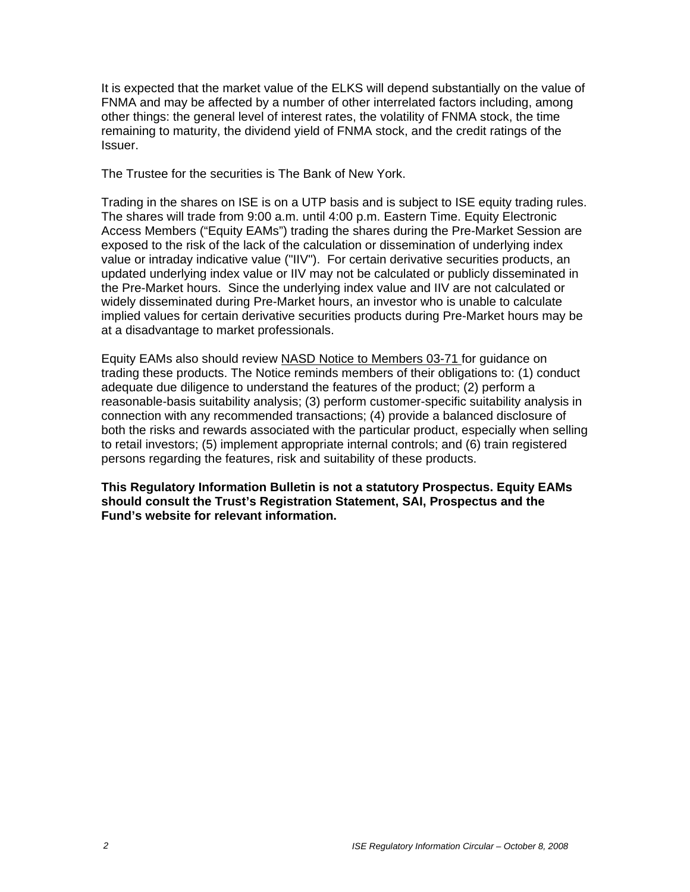It is expected that the market value of the ELKS will depend substantially on the value of FNMA and may be affected by a number of other interrelated factors including, among other things: the general level of interest rates, the volatility of FNMA stock, the time remaining to maturity, the dividend yield of FNMA stock, and the credit ratings of the Issuer.

The Trustee for the securities is The Bank of New York.

Trading in the shares on ISE is on a UTP basis and is subject to ISE equity trading rules. The shares will trade from 9:00 a.m. until 4:00 p.m. Eastern Time. Equity Electronic Access Members ("Equity EAMs") trading the shares during the Pre-Market Session are exposed to the risk of the lack of the calculation or dissemination of underlying index value or intraday indicative value ("IIV"). For certain derivative securities products, an updated underlying index value or IIV may not be calculated or publicly disseminated in the Pre-Market hours. Since the underlying index value and IIV are not calculated or widely disseminated during Pre-Market hours, an investor who is unable to calculate implied values for certain derivative securities products during Pre-Market hours may be at a disadvantage to market professionals.

Equity EAMs also should review NASD Notice to Members 03-71 for guidance on trading these products. The Notice reminds members of their obligations to: (1) conduct adequate due diligence to understand the features of the product; (2) perform a reasonable-basis suitability analysis; (3) perform customer-specific suitability analysis in connection with any recommended transactions; (4) provide a balanced disclosure of both the risks and rewards associated with the particular product, especially when selling to retail investors; (5) implement appropriate internal controls; and (6) train registered persons regarding the features, risk and suitability of these products.

**This Regulatory Information Bulletin is not a statutory Prospectus. Equity EAMs should consult the Trust's Registration Statement, SAI, Prospectus and the Fund's website for relevant information.**